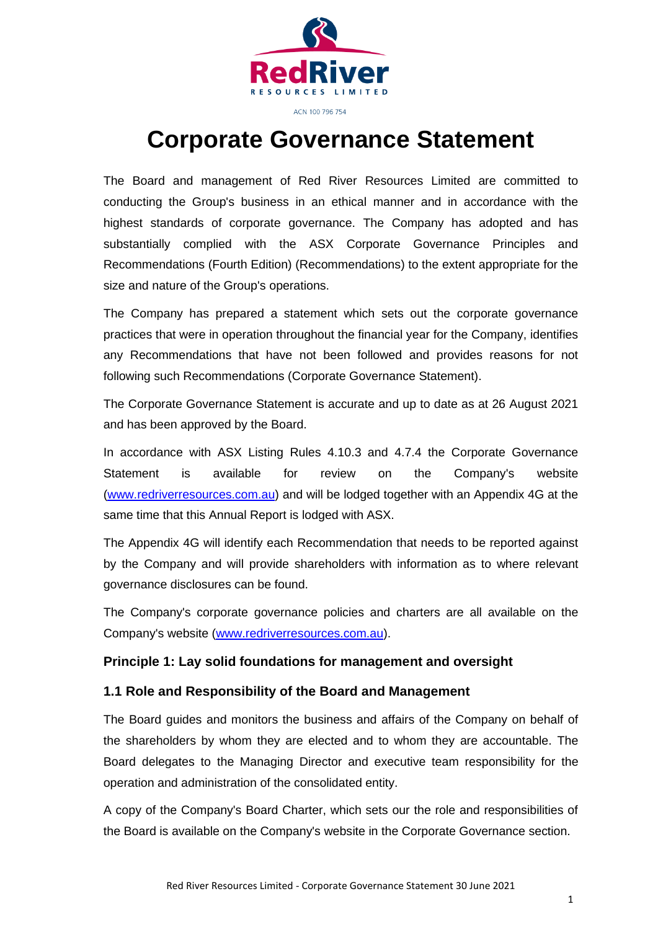

# **Corporate Governance Statement**

The Board and management of Red River Resources Limited are committed to conducting the Group's business in an ethical manner and in accordance with the highest standards of corporate governance. The Company has adopted and has substantially complied with the ASX Corporate Governance Principles and Recommendations (Fourth Edition) (Recommendations) to the extent appropriate for the size and nature of the Group's operations.

The Company has prepared a statement which sets out the corporate governance practices that were in operation throughout the financial year for the Company, identifies any Recommendations that have not been followed and provides reasons for not following such Recommendations (Corporate Governance Statement).

The Corporate Governance Statement is accurate and up to date as at 26 August 2021 and has been approved by the Board.

In accordance with ASX Listing Rules 4.10.3 and 4.7.4 the Corporate Governance Statement is available for review on the Company's website (www.redriverresources.com.au) and will be lodged together with an Appendix 4G at the same time that this Annual Report is lodged with ASX.

The Appendix 4G will identify each Recommendation that needs to be reported against by the Company and will provide shareholders with information as to where relevant governance disclosures can be found.

The Company's corporate governance policies and charters are all available on the Company's website [\(www.redriverresources.com.au\)](http://www.redriverresources.com.au/).

#### **Principle 1: Lay solid foundations for management and oversight**

#### **1.1 Role and Responsibility of the Board and Management**

The Board guides and monitors the business and affairs of the Company on behalf of the shareholders by whom they are elected and to whom they are accountable. The Board delegates to the Managing Director and executive team responsibility for the operation and administration of the consolidated entity.

A copy of the Company's Board Charter, which sets our the role and responsibilities of the Board is available on the Company's website in the Corporate Governance section.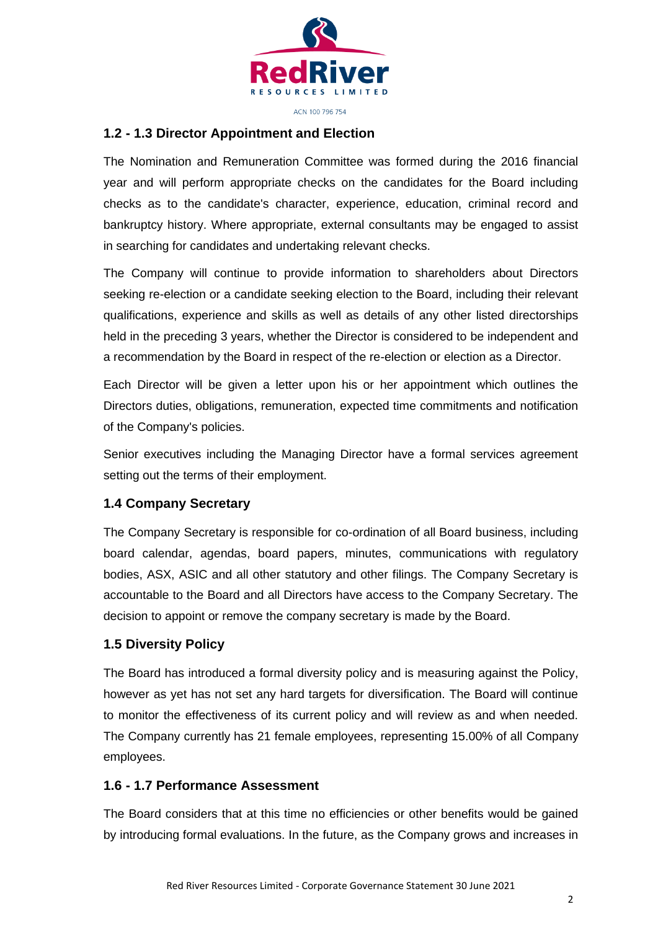

#### ACN 100 796 754

#### **1.2 - 1.3 Director Appointment and Election**

The Nomination and Remuneration Committee was formed during the 2016 financial year and will perform appropriate checks on the candidates for the Board including checks as to the candidate's character, experience, education, criminal record and bankruptcy history. Where appropriate, external consultants may be engaged to assist in searching for candidates and undertaking relevant checks.

The Company will continue to provide information to shareholders about Directors seeking re-election or a candidate seeking election to the Board, including their relevant qualifications, experience and skills as well as details of any other listed directorships held in the preceding 3 years, whether the Director is considered to be independent and a recommendation by the Board in respect of the re-election or election as a Director.

Each Director will be given a letter upon his or her appointment which outlines the Directors duties, obligations, remuneration, expected time commitments and notification of the Company's policies.

Senior executives including the Managing Director have a formal services agreement setting out the terms of their employment.

#### **1.4 Company Secretary**

The Company Secretary is responsible for co-ordination of all Board business, including board calendar, agendas, board papers, minutes, communications with regulatory bodies, ASX, ASIC and all other statutory and other filings. The Company Secretary is accountable to the Board and all Directors have access to the Company Secretary. The decision to appoint or remove the company secretary is made by the Board.

#### **1.5 Diversity Policy**

The Board has introduced a formal diversity policy and is measuring against the Policy, however as yet has not set any hard targets for diversification. The Board will continue to monitor the effectiveness of its current policy and will review as and when needed. The Company currently has 21 female employees, representing 15.00% of all Company employees.

#### **1.6 - 1.7 Performance Assessment**

The Board considers that at this time no efficiencies or other benefits would be gained by introducing formal evaluations. In the future, as the Company grows and increases in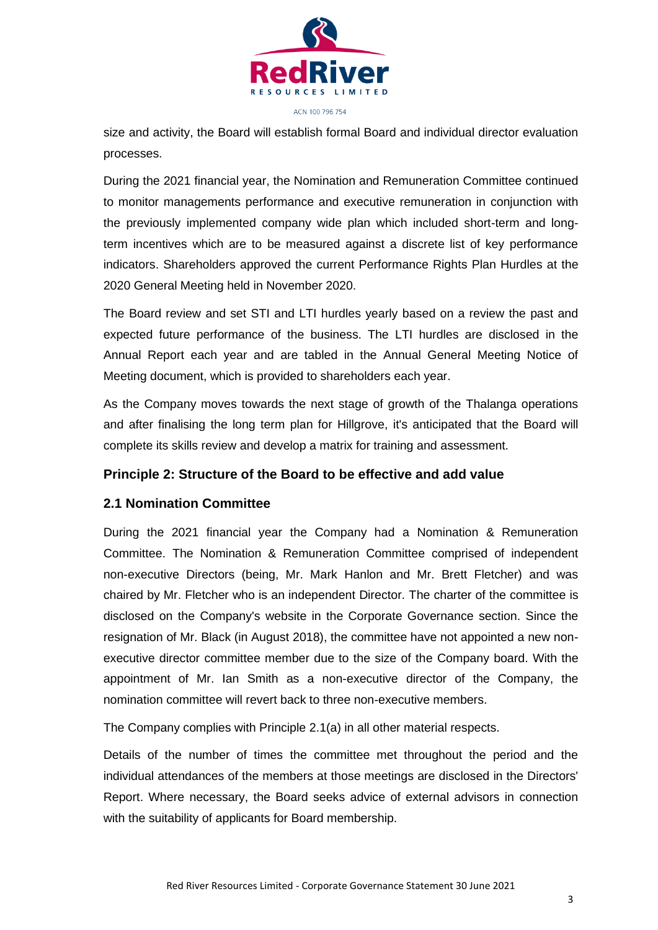

size and activity, the Board will establish formal Board and individual director evaluation processes.

During the 2021 financial year, the Nomination and Remuneration Committee continued to monitor managements performance and executive remuneration in conjunction with the previously implemented company wide plan which included short-term and longterm incentives which are to be measured against a discrete list of key performance indicators. Shareholders approved the current Performance Rights Plan Hurdles at the 2020 General Meeting held in November 2020.

The Board review and set STI and LTI hurdles yearly based on a review the past and expected future performance of the business. The LTI hurdles are disclosed in the Annual Report each year and are tabled in the Annual General Meeting Notice of Meeting document, which is provided to shareholders each year.

As the Company moves towards the next stage of growth of the Thalanga operations and after finalising the long term plan for Hillgrove, it's anticipated that the Board will complete its skills review and develop a matrix for training and assessment.

# **Principle 2: Structure of the Board to be effective and add value**

#### **2.1 Nomination Committee**

During the 2021 financial year the Company had a Nomination & Remuneration Committee. The Nomination & Remuneration Committee comprised of independent non-executive Directors (being, Mr. Mark Hanlon and Mr. Brett Fletcher) and was chaired by Mr. Fletcher who is an independent Director. The charter of the committee is disclosed on the Company's website in the Corporate Governance section. Since the resignation of Mr. Black (in August 2018), the committee have not appointed a new nonexecutive director committee member due to the size of the Company board. With the appointment of Mr. Ian Smith as a non-executive director of the Company, the nomination committee will revert back to three non-executive members.

The Company complies with Principle 2.1(a) in all other material respects.

Details of the number of times the committee met throughout the period and the individual attendances of the members at those meetings are disclosed in the Directors' Report. Where necessary, the Board seeks advice of external advisors in connection with the suitability of applicants for Board membership.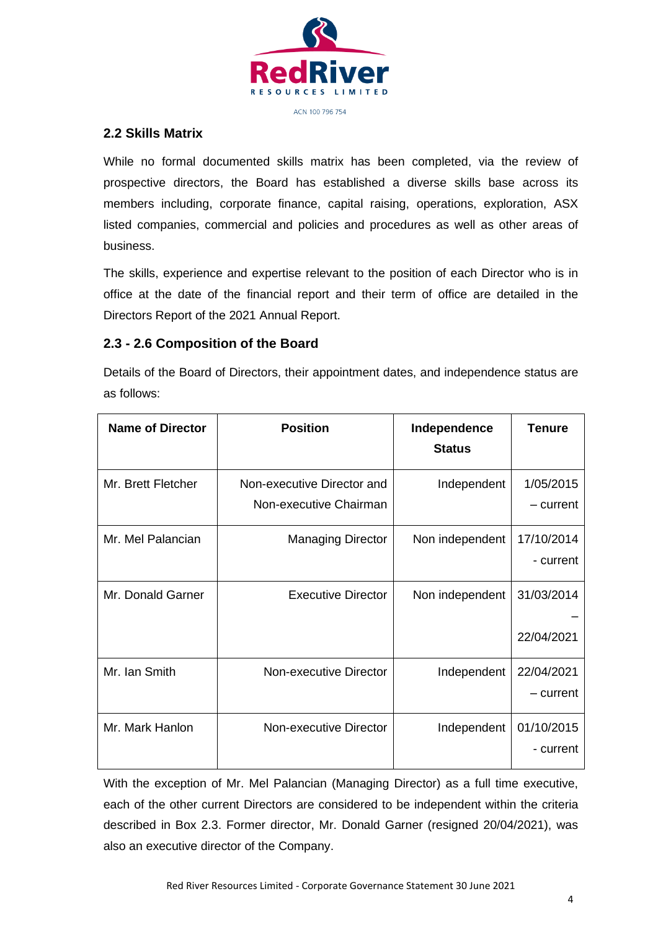

# **2.2 Skills Matrix**

While no formal documented skills matrix has been completed, via the review of prospective directors, the Board has established a diverse skills base across its members including, corporate finance, capital raising, operations, exploration, ASX listed companies, commercial and policies and procedures as well as other areas of business.

The skills, experience and expertise relevant to the position of each Director who is in office at the date of the financial report and their term of office are detailed in the Directors Report of the 2021 Annual Report.

# **2.3 - 2.6 Composition of the Board**

Details of the Board of Directors, their appointment dates, and independence status are as follows:

| <b>Name of Director</b> | <b>Position</b>                                      | Independence<br><b>Status</b> | Tenure                   |
|-------------------------|------------------------------------------------------|-------------------------------|--------------------------|
| Mr. Brett Fletcher      | Non-executive Director and<br>Non-executive Chairman | Independent                   | 1/05/2015<br>- current   |
| Mr. Mel Palancian       | <b>Managing Director</b>                             | Non independent               | 17/10/2014<br>- current  |
| Mr. Donald Garner       | <b>Executive Director</b>                            | Non independent               | 31/03/2014<br>22/04/2021 |
| Mr. Ian Smith           | Non-executive Director                               | Independent                   | 22/04/2021<br>– current  |
| Mr. Mark Hanlon         | Non-executive Director                               | Independent                   | 01/10/2015<br>- current  |

With the exception of Mr. Mel Palancian (Managing Director) as a full time executive, each of the other current Directors are considered to be independent within the criteria described in Box 2.3. Former director, Mr. Donald Garner (resigned 20/04/2021), was also an executive director of the Company.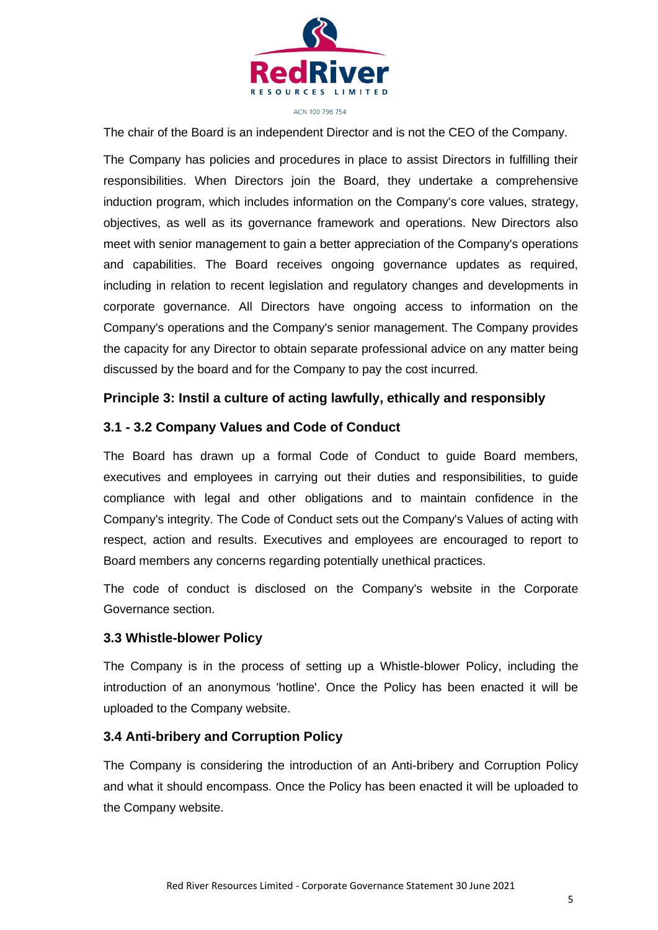

The chair of the Board is an independent Director and is not the CEO of the Company.

The Company has policies and procedures in place to assist Directors in fulfilling their responsibilities. When Directors join the Board, they undertake a comprehensive induction program, which includes information on the Company's core values, strategy, objectives, as well as its governance framework and operations. New Directors also meet with senior management to gain a better appreciation of the Company's operations and capabilities. The Board receives ongoing governance updates as required, including in relation to recent legislation and regulatory changes and developments in corporate governance. All Directors have ongoing access to information on the Company's operations and the Company's senior management. The Company provides the capacity for any Director to obtain separate professional advice on any matter being discussed by the board and for the Company to pay the cost incurred.

#### **Principle 3: Instil a culture of acting lawfully, ethically and responsibly**

#### **3.1 - 3.2 Company Values and Code of Conduct**

The Board has drawn up a formal Code of Conduct to guide Board members, executives and employees in carrying out their duties and responsibilities, to guide compliance with legal and other obligations and to maintain confidence in the Company's integrity. The Code of Conduct sets out the Company's Values of acting with respect, action and results. Executives and employees are encouraged to report to Board members any concerns regarding potentially unethical practices.

The code of conduct is disclosed on the Company's website in the Corporate Governance section.

#### **3.3 Whistle-blower Policy**

The Company is in the process of setting up a Whistle-blower Policy, including the introduction of an anonymous 'hotline'. Once the Policy has been enacted it will be uploaded to the Company website.

#### **3.4 Anti-bribery and Corruption Policy**

The Company is considering the introduction of an Anti-bribery and Corruption Policy and what it should encompass. Once the Policy has been enacted it will be uploaded to the Company website.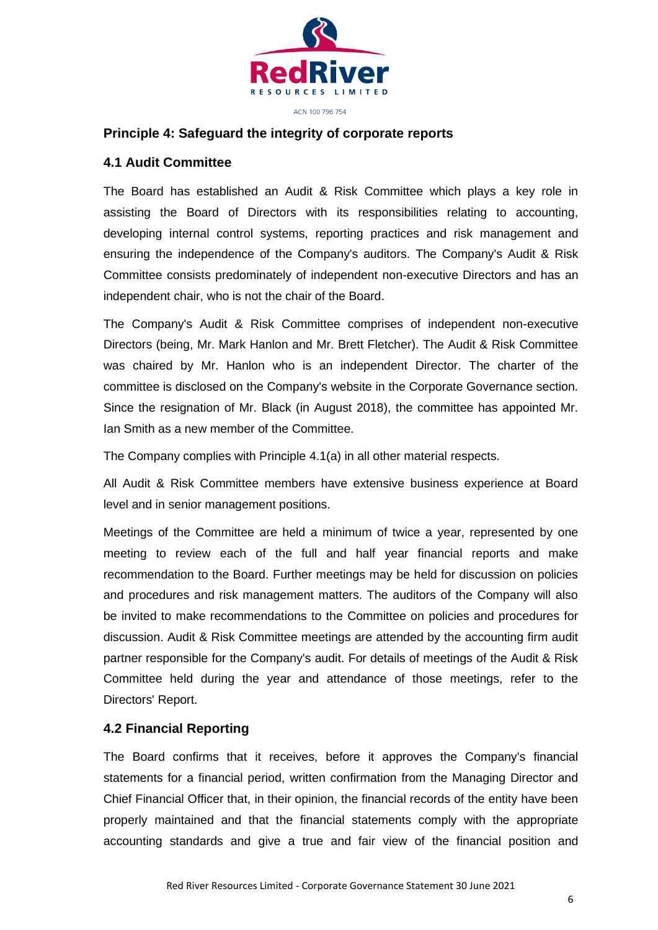

#### **Principle 4: Safeguard the integrity of corporate reports**

#### **4.1 Audit Committee**

The Board has established an Audit & Risk Committee which plays a key role in assisting the Board of Directors with its responsibilities relating to accounting, developing internal control systems, reporting practices and risk management and ensuring the independence of the Company's auditors. The Company's Audit & Risk Committee consists predominately of independent non-executive Directors and has an independent chair, who is not the chair of the Board.

The Company's Audit & Risk Committee comprises of independent non-executive Directors (being, Mr. Mark Hanlon and Mr. Brett Fletcher). The Audit & Risk Committee was chaired by Mr. Hanlon who is an independent Director. The charter of the committee is disclosed on the Company's website in the Corporate Governance section. Since the resignation of Mr. Black (in August 2018), the committee has appointed Mr. Ian Smith as a new member of the Committee.

The Company complies with Principle 4.1(a) in all other material respects.

All Audit & Risk Committee members have extensive business experience at Board level and in senior management positions.

Meetings of the Committee are held a minimum of twice a year, represented by one meeting to review each of the full and half year financial reports and make recommendation to the Board. Further meetings may be held for discussion on policies and procedures and risk management matters. The auditors of the Company will also be invited to make recommendations to the Committee on policies and procedures for discussion. Audit & Risk Committee meetings are attended by the accounting firm audit partner responsible for the Company's audit. For details of meetings of the Audit & Risk Committee held during the year and attendance of those meetings, refer to the Directors' Report.

#### **4.2 Financial Reporting**

The Board confirms that it receives, before it approves the Company's financial statements for a financial period, written confirmation from the Managing Director and Chief Financial Officer that, in their opinion, the financial records of the entity have been properly maintained and that the financial statements comply with the appropriate accounting standards and give a true and fair view of the financial position and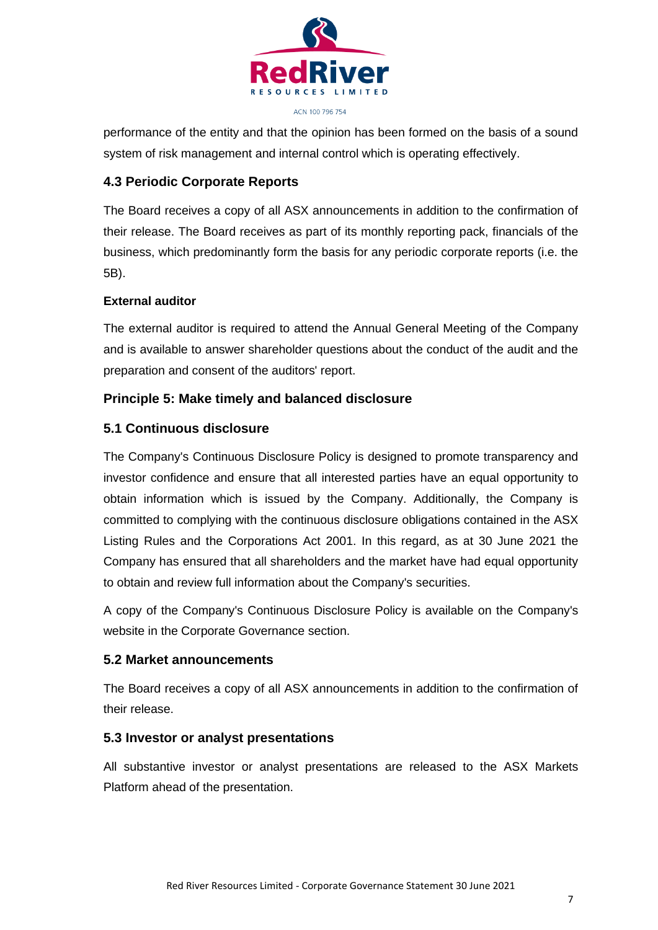

performance of the entity and that the opinion has been formed on the basis of a sound system of risk management and internal control which is operating effectively.

# **4.3 Periodic Corporate Reports**

The Board receives a copy of all ASX announcements in addition to the confirmation of their release. The Board receives as part of its monthly reporting pack, financials of the business, which predominantly form the basis for any periodic corporate reports (i.e. the 5B).

# **External auditor**

The external auditor is required to attend the Annual General Meeting of the Company and is available to answer shareholder questions about the conduct of the audit and the preparation and consent of the auditors' report.

# **Principle 5: Make timely and balanced disclosure**

# **5.1 Continuous disclosure**

The Company's Continuous Disclosure Policy is designed to promote transparency and investor confidence and ensure that all interested parties have an equal opportunity to obtain information which is issued by the Company. Additionally, the Company is committed to complying with the continuous disclosure obligations contained in the ASX Listing Rules and the Corporations Act 2001. In this regard, as at 30 June 2021 the Company has ensured that all shareholders and the market have had equal opportunity to obtain and review full information about the Company's securities.

A copy of the Company's Continuous Disclosure Policy is available on the Company's website in the Corporate Governance section.

#### **5.2 Market announcements**

The Board receives a copy of all ASX announcements in addition to the confirmation of their release.

#### **5.3 Investor or analyst presentations**

All substantive investor or analyst presentations are released to the ASX Markets Platform ahead of the presentation.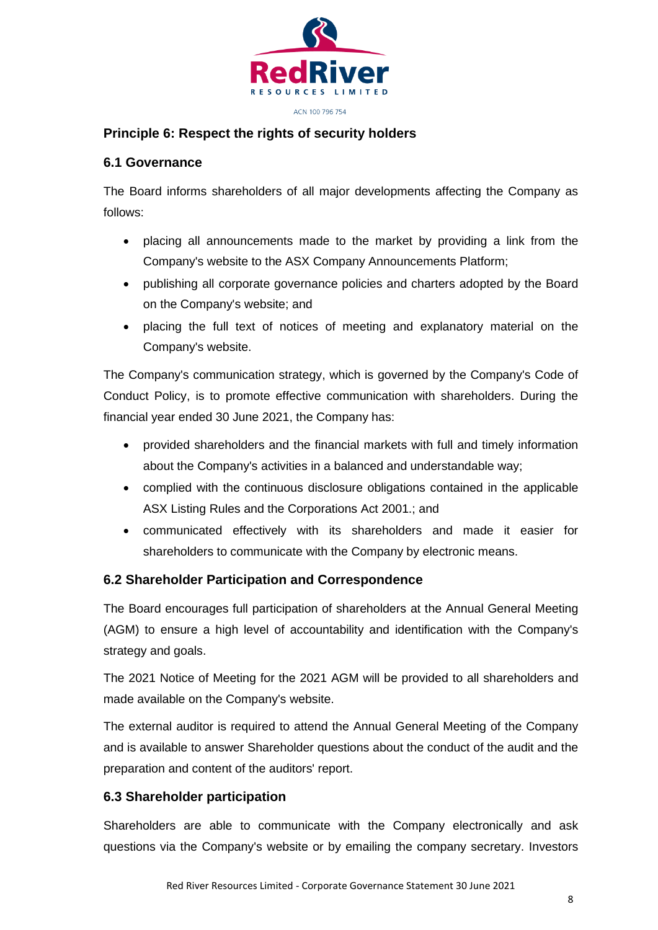

# **Principle 6: Respect the rights of security holders**

#### **6.1 Governance**

The Board informs shareholders of all major developments affecting the Company as follows:

- placing all announcements made to the market by providing a link from the Company's website to the ASX Company Announcements Platform;
- publishing all corporate governance policies and charters adopted by the Board on the Company's website; and
- placing the full text of notices of meeting and explanatory material on the Company's website.

The Company's communication strategy, which is governed by the Company's Code of Conduct Policy, is to promote effective communication with shareholders. During the financial year ended 30 June 2021, the Company has:

- provided shareholders and the financial markets with full and timely information about the Company's activities in a balanced and understandable way;
- complied with the continuous disclosure obligations contained in the applicable ASX Listing Rules and the Corporations Act 2001.; and
- communicated effectively with its shareholders and made it easier for shareholders to communicate with the Company by electronic means.

# **6.2 Shareholder Participation and Correspondence**

The Board encourages full participation of shareholders at the Annual General Meeting (AGM) to ensure a high level of accountability and identification with the Company's strategy and goals.

The 2021 Notice of Meeting for the 2021 AGM will be provided to all shareholders and made available on the Company's website.

The external auditor is required to attend the Annual General Meeting of the Company and is available to answer Shareholder questions about the conduct of the audit and the preparation and content of the auditors' report.

# **6.3 Shareholder participation**

Shareholders are able to communicate with the Company electronically and ask questions via the Company's website or by emailing the company secretary. Investors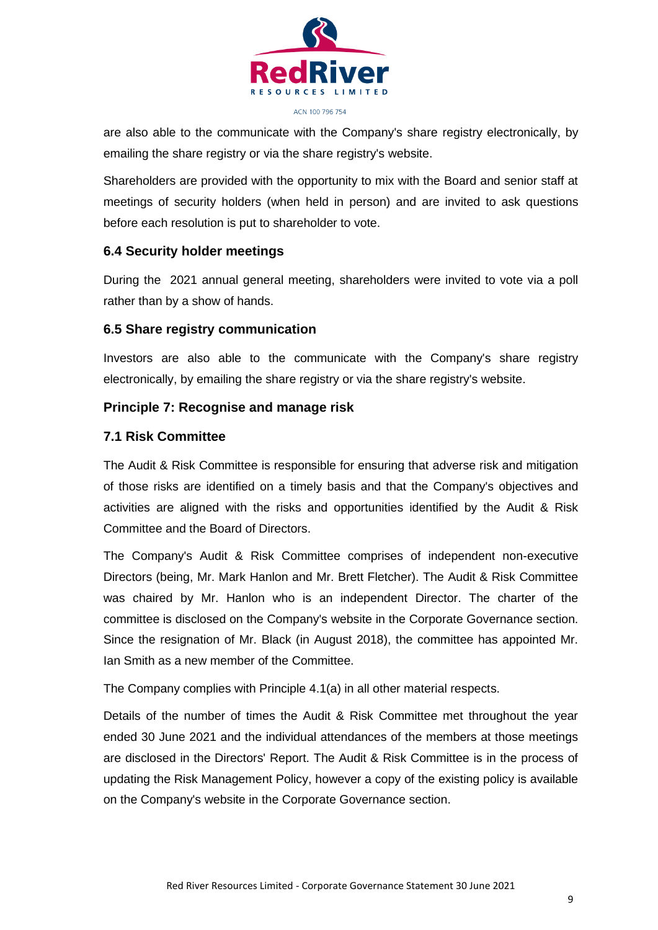

are also able to the communicate with the Company's share registry electronically, by emailing the share registry or via the share registry's website.

Shareholders are provided with the opportunity to mix with the Board and senior staff at meetings of security holders (when held in person) and are invited to ask questions before each resolution is put to shareholder to vote.

# **6.4 Security holder meetings**

During the 2021 annual general meeting, shareholders were invited to vote via a poll rather than by a show of hands.

# **6.5 Share registry communication**

Investors are also able to the communicate with the Company's share registry electronically, by emailing the share registry or via the share registry's website.

# **Principle 7: Recognise and manage risk**

#### **7.1 Risk Committee**

The Audit & Risk Committee is responsible for ensuring that adverse risk and mitigation of those risks are identified on a timely basis and that the Company's objectives and activities are aligned with the risks and opportunities identified by the Audit & Risk Committee and the Board of Directors.

The Company's Audit & Risk Committee comprises of independent non-executive Directors (being, Mr. Mark Hanlon and Mr. Brett Fletcher). The Audit & Risk Committee was chaired by Mr. Hanlon who is an independent Director. The charter of the committee is disclosed on the Company's website in the Corporate Governance section. Since the resignation of Mr. Black (in August 2018), the committee has appointed Mr. Ian Smith as a new member of the Committee.

The Company complies with Principle 4.1(a) in all other material respects.

Details of the number of times the Audit & Risk Committee met throughout the year ended 30 June 2021 and the individual attendances of the members at those meetings are disclosed in the Directors' Report. The Audit & Risk Committee is in the process of updating the Risk Management Policy, however a copy of the existing policy is available on the Company's website in the Corporate Governance section.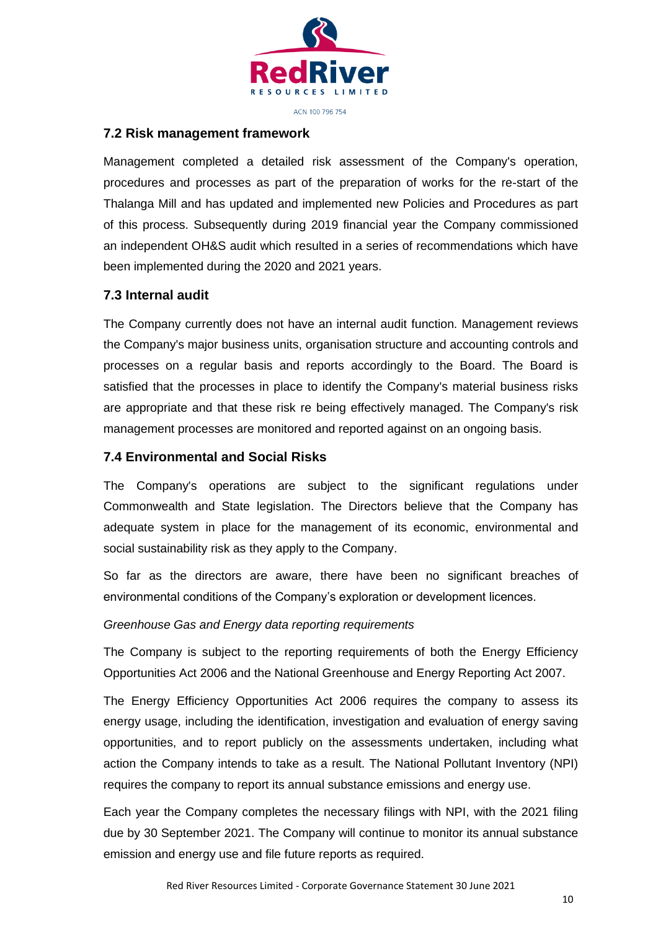

#### **7.2 Risk management framework**

Management completed a detailed risk assessment of the Company's operation, procedures and processes as part of the preparation of works for the re-start of the Thalanga Mill and has updated and implemented new Policies and Procedures as part of this process. Subsequently during 2019 financial year the Company commissioned an independent OH&S audit which resulted in a series of recommendations which have been implemented during the 2020 and 2021 years.

#### **7.3 Internal audit**

The Company currently does not have an internal audit function. Management reviews the Company's major business units, organisation structure and accounting controls and processes on a regular basis and reports accordingly to the Board. The Board is satisfied that the processes in place to identify the Company's material business risks are appropriate and that these risk re being effectively managed. The Company's risk management processes are monitored and reported against on an ongoing basis.

#### **7.4 Environmental and Social Risks**

The Company's operations are subject to the significant regulations under Commonwealth and State legislation. The Directors believe that the Company has adequate system in place for the management of its economic, environmental and social sustainability risk as they apply to the Company.

So far as the directors are aware, there have been no significant breaches of environmental conditions of the Company's exploration or development licences.

#### *Greenhouse Gas and Energy data reporting requirements*

The Company is subject to the reporting requirements of both the Energy Efficiency Opportunities Act 2006 and the National Greenhouse and Energy Reporting Act 2007.

The Energy Efficiency Opportunities Act 2006 requires the company to assess its energy usage, including the identification, investigation and evaluation of energy saving opportunities, and to report publicly on the assessments undertaken, including what action the Company intends to take as a result. The National Pollutant Inventory (NPI) requires the company to report its annual substance emissions and energy use.

Each year the Company completes the necessary filings with NPI, with the 2021 filing due by 30 September 2021. The Company will continue to monitor its annual substance emission and energy use and file future reports as required.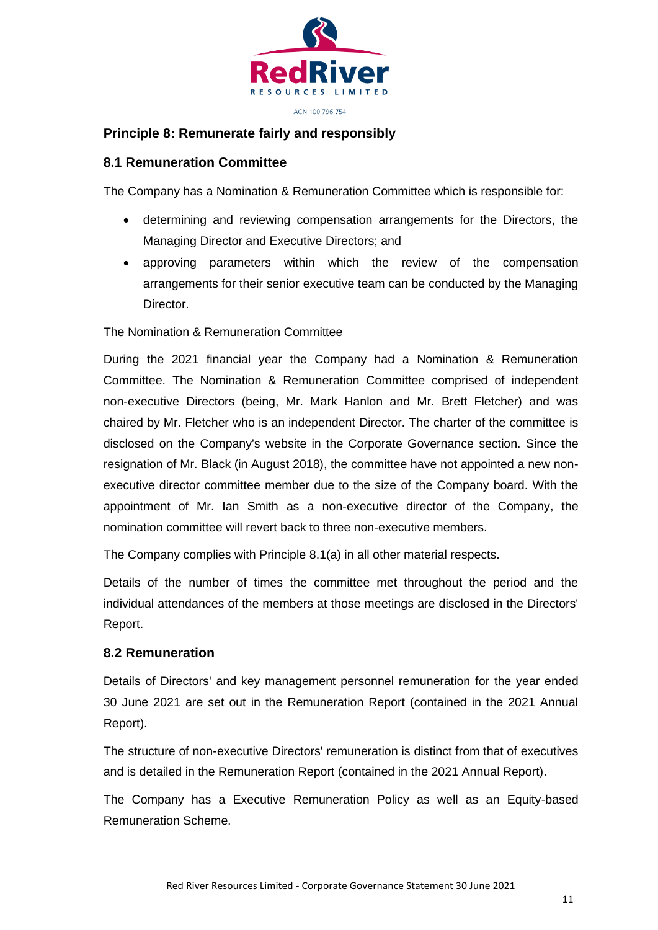

# **Principle 8: Remunerate fairly and responsibly**

#### **8.1 Remuneration Committee**

The Company has a Nomination & Remuneration Committee which is responsible for:

- determining and reviewing compensation arrangements for the Directors, the Managing Director and Executive Directors; and
- approving parameters within which the review of the compensation arrangements for their senior executive team can be conducted by the Managing Director.

The Nomination & Remuneration Committee

During the 2021 financial year the Company had a Nomination & Remuneration Committee. The Nomination & Remuneration Committee comprised of independent non-executive Directors (being, Mr. Mark Hanlon and Mr. Brett Fletcher) and was chaired by Mr. Fletcher who is an independent Director. The charter of the committee is disclosed on the Company's website in the Corporate Governance section. Since the resignation of Mr. Black (in August 2018), the committee have not appointed a new nonexecutive director committee member due to the size of the Company board. With the appointment of Mr. Ian Smith as a non-executive director of the Company, the nomination committee will revert back to three non-executive members.

The Company complies with Principle 8.1(a) in all other material respects.

Details of the number of times the committee met throughout the period and the individual attendances of the members at those meetings are disclosed in the Directors' Report.

#### **8.2 Remuneration**

Details of Directors' and key management personnel remuneration for the year ended 30 June 2021 are set out in the Remuneration Report (contained in the 2021 Annual Report).

The structure of non-executive Directors' remuneration is distinct from that of executives and is detailed in the Remuneration Report (contained in the 2021 Annual Report).

The Company has a Executive Remuneration Policy as well as an Equity-based Remuneration Scheme.